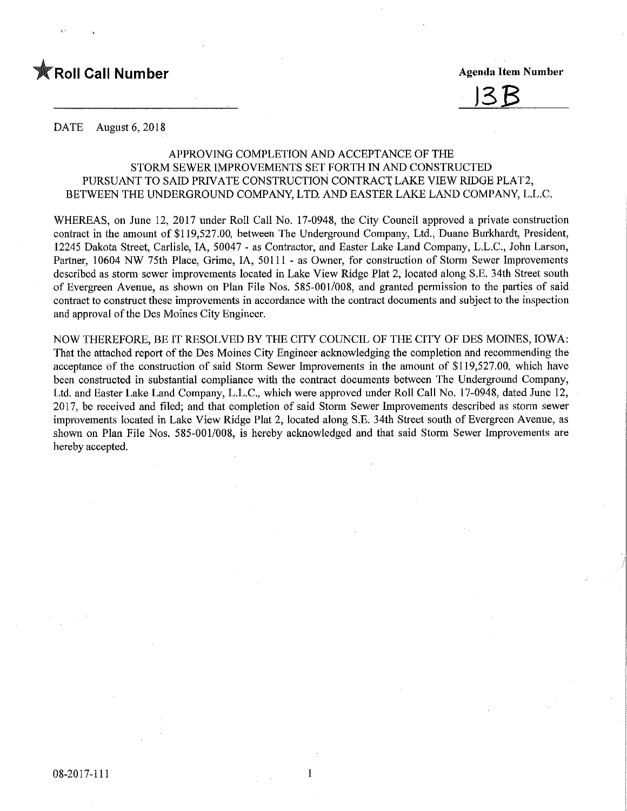

# <u> 13B</u>

DATE August 6, 2018

## APPROVING COMPLETION AND ACCEPTANCE OF THE STORM SEWER IMPROVEMENTS SET FORTH IN AND CONSTRUCTED PURSUANT TO SAID PRIVATE CONSTRUCTION CONTRACT LAKE VIEW RIDGE PLAT2, BETWEEN THE UNDERGROUND COMPANY, LTD. AND EASTER LAKE LAND COMPANY, L.L.C.

WHEREAS, on June 12, 2017 under Roll Call No. 17-0948, the City Council approved a private construction contract in the amount of \$119,527.00, between The Underground Company, Ltd., Duane Burkhardt, President, 12245 Dakota Street, Carlisle, IA, 50047 - as Contractor, and Easter Lake Land Company, L.L.C., John Larson, Partner, 10604 NW 75th Place, Grime, IA, 50111 - as Owner, for construction of Storm Sewer Improvements described as storm sewer improvements located in Lake View Ridge Plat 2, located along S.E. 34th Street south of Evergreen Avenue, as shown on Plan File Nos. 585-001/008, and granted permission to the parties of said contract to construct these improvements in accordance with the contract documents and subject to the inspection and approval of the Des Moines City Engineer.

NOW THEREFORE, BE IT RESOLVED BY THE CITY COUNCIL OF THE CITY OF DES MOINES, IOWA: That the attached report of the Des Moines City Engineer acknowledging the completion and recommending the acceptance of the construction of said Storm Sewer Improvements in the amount of \$119,527.00, which have been constructed in substantial compliance with the contract documents between The Underground Company, Ltd. and Easter Lake Land Company, L.L.C., which were approved under Roll Call No. 17-0948, dated June 12, 2017, be received and filed; and that completion of said Storm Sewer Improvements described as storm sewer improvements located in Lake View Ridge Plat 2, located along S.E. 34th Street south of Evergreen Avenue, as shown on Plan File Nos. 585-001/008, is hereby acknowledged and that said Storm Sewer Improvements are hereby accepted.

1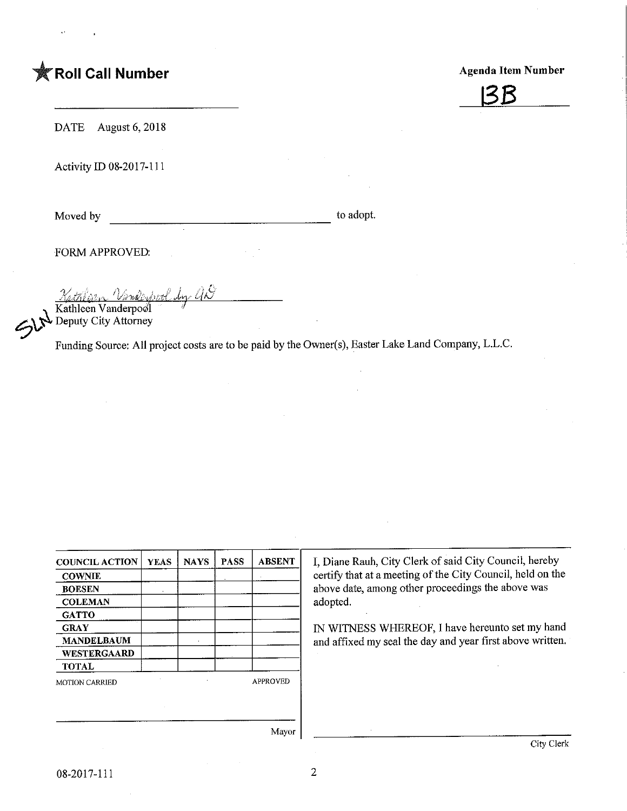# **K** Roll Call Number

Agenda Item Number



DATE August 6, 2018

Activity ID 08-2017-111

Moved by to adopt.

FORM APPROVED:

<u>Nathlian Vankerbool by aN</u> Kathleen Vanderpool

Deputy City Attorney

Funding Source; All project costs are to be paid by the Owner(s), Easter Lake Land Company, L.L.C.

| <b>COUNCIL ACTION</b> | <b>YEAS</b> | <b>NAYS</b> | <b>PASS</b> | <b>ABSENT</b>   | I, Diane I     |  |
|-----------------------|-------------|-------------|-------------|-----------------|----------------|--|
| <b>COWNIE</b>         |             |             |             |                 | certify th     |  |
| <b>BOESEN</b>         |             |             |             |                 | above da       |  |
| <b>COLEMAN</b>        |             |             |             |                 | adopted.       |  |
| <b>GATTO</b>          |             |             |             |                 |                |  |
| <b>GRAY</b>           |             |             |             |                 | <b>IN WITN</b> |  |
| <b>MANDELBAUM</b>     |             |             |             |                 | and affix      |  |
| WESTERGAARD           |             |             |             |                 |                |  |
| <b>TOTAL</b>          |             |             |             |                 |                |  |
| <b>MOTION CARRIED</b> |             |             |             | <b>APPROVED</b> |                |  |
|                       |             |             |             |                 |                |  |
|                       |             |             |             |                 |                |  |
|                       |             |             |             |                 |                |  |
|                       |             |             |             | Mayor           |                |  |

Rauh, City Clerk of said City Council, hereby at at a meeting of the City Council, held on the te, among other proceedings the above was

IESS WHEREOF, I have hereunto set my hand ed my seal the day and year first above written.

Mayor

 $\overline{2}$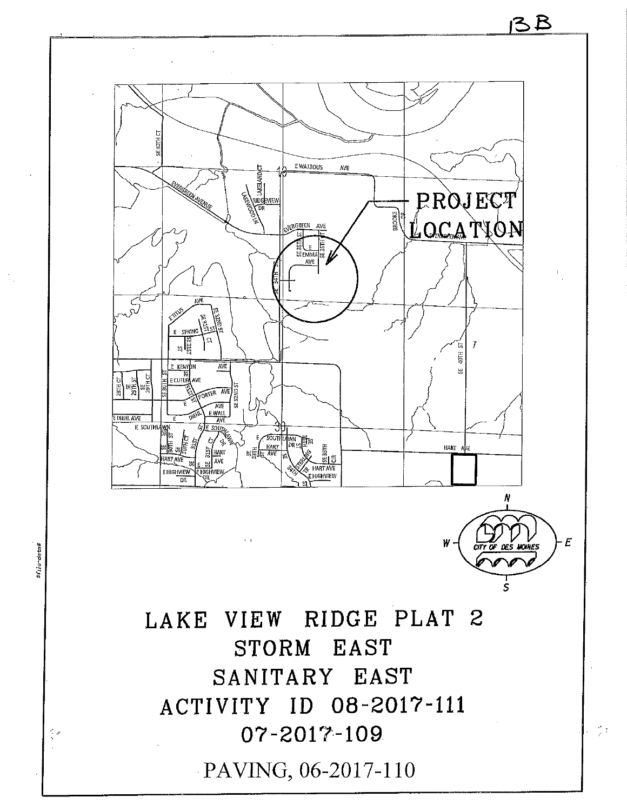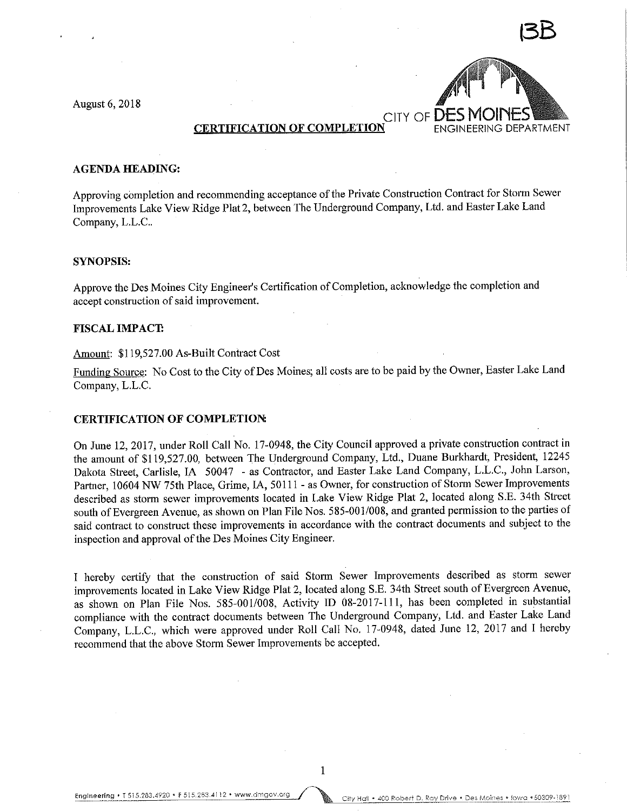August 6, 2018



### CERTIFICATION OF COMPLETION ENGINEERING DEPARTMENT

#### AGENDA HEADING:

Approving completion and recommending acceptance of the Private Construction Contract for Storm Sewer Improvements Lake View Ridge Plat 2, between The Underground Company, Ltd. and Easter Lake Land Company, L.L.C..

#### SYNOPSIS:

Approve the Des Moines City Engineer's Certification of Completion, acknowledge the completion and accept construction of said improvement.

#### FISCAL IMPACT

#### Amount: \$119,527.00 As-Built Contract Cost

Funding Source: No Cost to the City of Des Moines; all costs are to be paid by the Owner, Easter Lake Land Company, L.L.C.

#### CERTIFICATION OF COMPLETION:

On June 12, 2017, under Roll Call No. 17-0948, the City Council approved a private construction contract in the amount of \$119,527.00, between The Underground Company, Ltd., Duane Burkhardt, President, 12245 Dakota Street, Carlisle, IA 50047 - as Contractor, and Easter Lake Land Company, L.L.C., John Larson, Partner, 10604 NW 75th Place, Grime, IA, 50111 - as Owner, for construction of Storm Sewer Improvements described as storm sewer improvements located in Lake View Ridge Plat 2, located along S.E. 34th Street south of Evergreen Avenue, as shown on Plan File Nos. 585-001/008, and granted permission to the parties of said contract to construct these improvements in accordance with the contract documents and subject to the inspection and approval of the Des Moines City Engineer.

I hereby certify that the construction of said Storm Sewer Improvements described as storm sewer improvements located in Lake View Ridge Plat 2, located along S.E. 34th Street south of Evergreen Avenue, as shown on Plan File Nos. 585-001/008, Activity ID 08-2017-111, has been completed in substantial compliance with the contract documents between The Underground Company, Ltd. and Easter Lake Land Company, L.L.C., which were approved under Roll Call No. 17-0948, dated June 12, 2017 and I hereby recommend that the above Storm Sewer Improvements be accepted.

 $\mathbf{1}$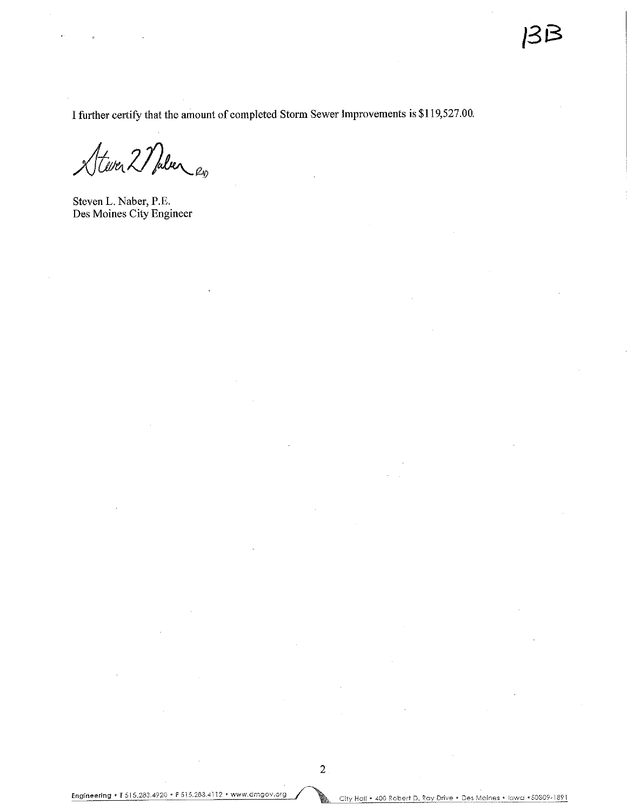I further certify that the amount of completed Storm Sewer Improvements is \$119,527.00.

Stever 2 Malen es

Steven L. Naber, P.E. Des Moines City Engineer